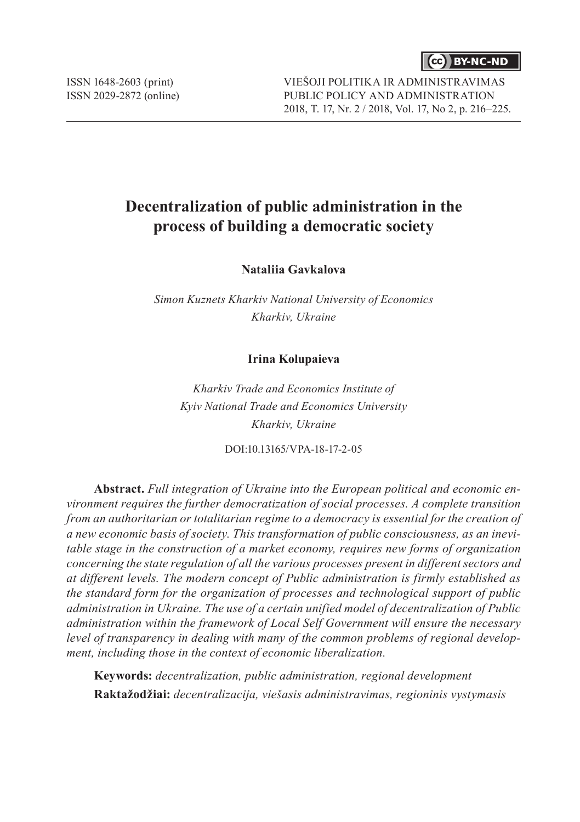

ISSN 1648-2603 (print) ISSN 2029-2872 (online) VIEŠOJI POLITIKA IR ADMINISTRAVIMAS PUBLIC POLICY AND ADMINISTRATION 2018, T. 17, Nr. 2 / 2018, Vol. 17, No 2, p. 216–225.

# **Decentralization of public administration in the process of building a democratic society**

**Nataliia Gavkalova**

*Simon Kuznets Kharkiv National University of Economics Kharkiv, Ukraine*

#### **Irina Kolupaieva**

*Kharkiv Trade and Economics Institute of Kyiv National Trade and Economics University Kharkiv, Ukraine*

DOI:10.13165/VPA-18-17-2-05

**Abstract.** *Full integration of Ukraine into the European political and economic environment requires the further democratization of social processes. A complete transition from an authoritarian or totalitarian regime to a democracy is essential for the creation of a new economic basis of society. This transformation of public consciousness, as an inevitable stage in the construction of a market economy, requires new forms of organization concerning the state regulation of all the various processes present in different sectors and at different levels. The modern concept of Public administration is firmly established as the standard form for the organization of processes and technological support of public administration in Ukraine. The use of a certain unified model of decentralization of Public administration within the framework of Local Self Government will ensure the necessary level of transparency in dealing with many of the common problems of regional development, including those in the context of economic liberalization.*

**Keywords:** *decentralization, public administration, regional development* **Raktažodžiai:** *decentralizacija, viešasis administravimas, regioninis vystymasis*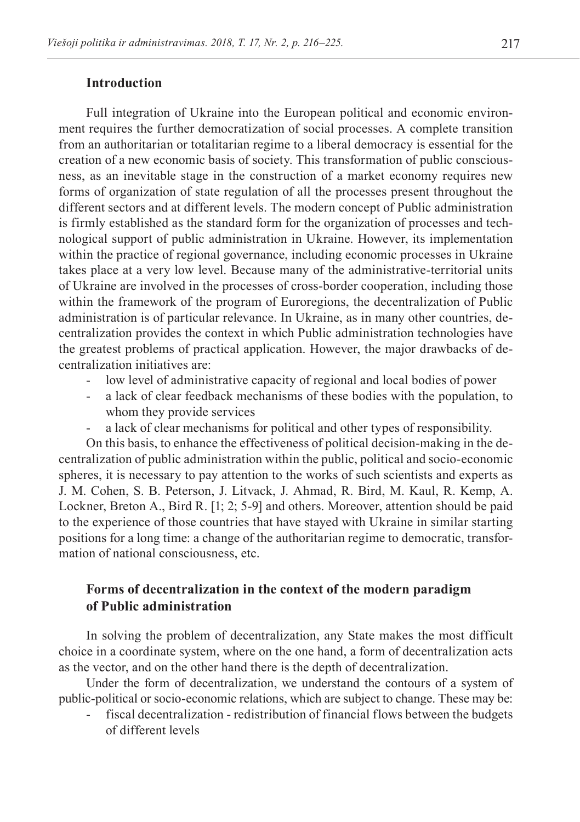### **Introduction**

Full integration of Ukraine into the European political and economic environment requires the further democratization of social processes. A complete transition from an authoritarian or totalitarian regime to a liberal democracy is essential for the creation of a new economic basis of society. This transformation of public consciousness, as an inevitable stage in the construction of a market economy requires new forms of organization of state regulation of all the processes present throughout the different sectors and at different levels. The modern concept of Public administration is firmly established as the standard form for the organization of processes and technological support of public administration in Ukraine. However, its implementation within the practice of regional governance, including economic processes in Ukraine takes place at a very low level. Because many of the administrative-territorial units of Ukraine are involved in the processes of cross-border cooperation, including those within the framework of the program of Euroregions, the decentralization of Public administration is of particular relevance. In Ukraine, as in many other countries, decentralization provides the context in which Public administration technologies have the greatest problems of practical application. However, the major drawbacks of decentralization initiatives are:

- low level of administrative capacity of regional and local bodies of power
- a lack of clear feedback mechanisms of these bodies with the population, to whom they provide services
- a lack of clear mechanisms for political and other types of responsibility.

On this basis, to enhance the effectiveness of political decision-making in the decentralization of public administration within the public, political and socio-economic spheres, it is necessary to pay attention to the works of such scientists and experts as J. M. Cohen, S. B. Peterson, J. Litvack, J. Ahmad, R. Bird, M. Kaul, R. Kemp, A. Lockner, Breton A., Bird R. [1; 2; 5-9] and others. Moreover, attention should be paid to the experience of those countries that have stayed with Ukraine in similar starting positions for a long time: a change of the authoritarian regime to democratic, transformation of national consciousness, etc.

## **Forms of decentralization in the context of the modern paradigm of Public administration**

In solving the problem of decentralization, any State makes the most difficult choice in a coordinate system, where on the one hand, a form of decentralization acts as the vector, and on the other hand there is the depth of decentralization.

Under the form of decentralization, we understand the contours of a system of public-political or socio-economic relations, which are subject to change. These may be:

fiscal decentralization - redistribution of financial flows between the budgets of different levels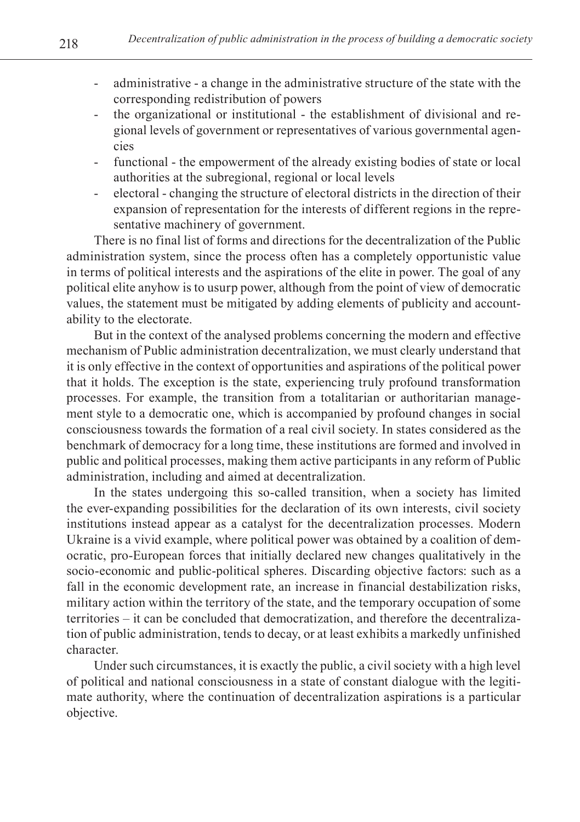- administrative a change in the administrative structure of the state with the corresponding redistribution of powers
- the organizational or institutional the establishment of divisional and regional levels of government or representatives of various governmental agencies
- functional the empowerment of the already existing bodies of state or local authorities at the subregional, regional or local levels
- electoral changing the structure of electoral districts in the direction of their expansion of representation for the interests of different regions in the representative machinery of government.

There is no final list of forms and directions for the decentralization of the Public administration system, since the process often has a completely opportunistic value in terms of political interests and the aspirations of the elite in power. The goal of any political elite anyhow is to usurp power, although from the point of view of democratic values, the statement must be mitigated by adding elements of publicity and accountability to the electorate.

But in the context of the analysed problems concerning the modern and effective mechanism of Public administration decentralization, we must clearly understand that it is only effective in the context of opportunities and aspirations of the political power that it holds. The exception is the state, experiencing truly profound transformation processes. For example, the transition from a totalitarian or authoritarian management style to a democratic one, which is accompanied by profound changes in social consciousness towards the formation of a real civil society. In states considered as the benchmark of democracy for a long time, these institutions are formed and involved in public and political processes, making them active participants in any reform of Public administration, including and aimed at decentralization.

In the states undergoing this so-called transition, when a society has limited the ever-expanding possibilities for the declaration of its own interests, civil society institutions instead appear as a catalyst for the decentralization processes. Modern Ukraine is a vivid example, where political power was obtained by a coalition of democratic, pro-European forces that initially declared new changes qualitatively in the socio-economic and public-political spheres. Discarding objective factors: such as a fall in the economic development rate, an increase in financial destabilization risks, military action within the territory of the state, and the temporary occupation of some territories – it can be concluded that democratization, and therefore the decentralization of public administration, tends to decay, or at least exhibits a markedly unfinished character.

Under such circumstances, it is exactly the public, a civil society with a high level of political and national consciousness in a state of constant dialogue with the legitimate authority, where the continuation of decentralization aspirations is a particular objective.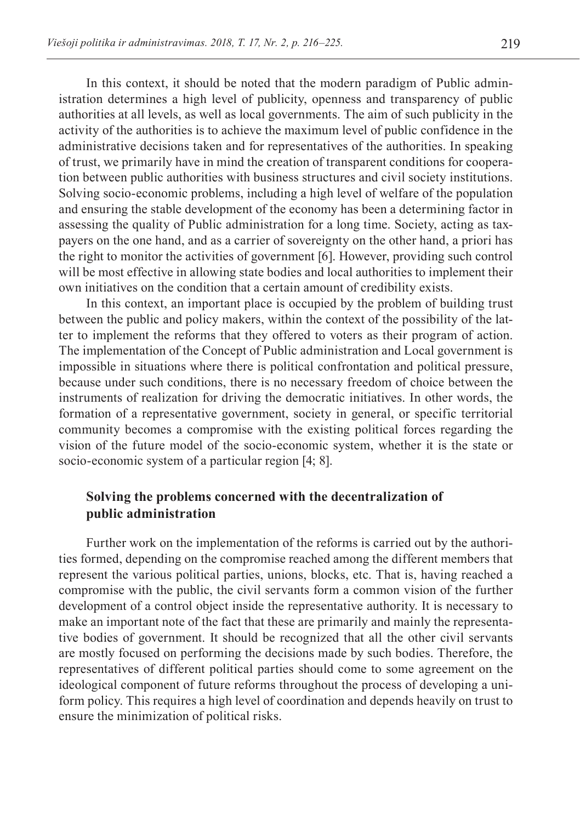In this context, it should be noted that the modern paradigm of Public administration determines a high level of publicity, openness and transparency of public authorities at all levels, as well as local governments. The aim of such publicity in the activity of the authorities is to achieve the maximum level of public confidence in the administrative decisions taken and for representatives of the authorities. In speaking of trust, we primarily have in mind the creation of transparent conditions for cooperation between public authorities with business structures and civil society institutions. Solving socio-economic problems, including a high level of welfare of the population and ensuring the stable development of the economy has been a determining factor in assessing the quality of Public administration for a long time. Society, acting as taxpayers on the one hand, and as a carrier of sovereignty on the other hand, a priori has the right to monitor the activities of government [6]. However, providing such control will be most effective in allowing state bodies and local authorities to implement their own initiatives on the condition that a certain amount of credibility exists.

In this context, an important place is occupied by the problem of building trust between the public and policy makers, within the context of the possibility of the latter to implement the reforms that they offered to voters as their program of action. The implementation of the Concept of Public administration and Local government is impossible in situations where there is political confrontation and political pressure, because under such conditions, there is no necessary freedom of choice between the instruments of realization for driving the democratic initiatives. In other words, the formation of a representative government, society in general, or specific territorial community becomes a compromise with the existing political forces regarding the vision of the future model of the socio-economic system, whether it is the state or socio-economic system of a particular region [4; 8].

### **Solving the problems concerned with the decentralization of public administration**

Further work on the implementation of the reforms is carried out by the authorities formed, depending on the compromise reached among the different members that represent the various political parties, unions, blocks, etc. That is, having reached a compromise with the public, the civil servants form a common vision of the further development of a control object inside the representative authority. It is necessary to make an important note of the fact that these are primarily and mainly the representative bodies of government. It should be recognized that all the other civil servants are mostly focused on performing the decisions made by such bodies. Therefore, the representatives of different political parties should come to some agreement on the ideological component of future reforms throughout the process of developing a uniform policy. This requires a high level of coordination and depends heavily on trust to ensure the minimization of political risks.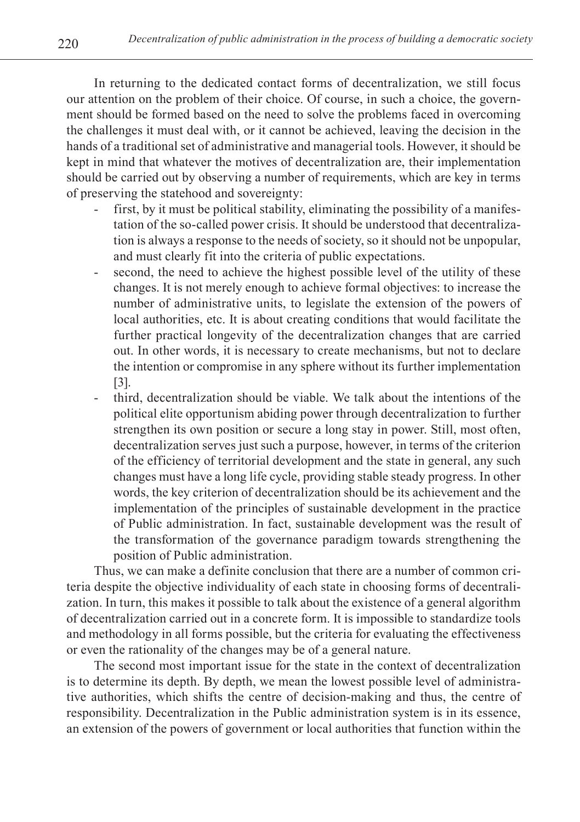In returning to the dedicated contact forms of decentralization, we still focus our attention on the problem of their choice. Of course, in such a choice, the government should be formed based on the need to solve the problems faced in overcoming the challenges it must deal with, or it cannot be achieved, leaving the decision in the hands of a traditional set of administrative and managerial tools. However, it should be kept in mind that whatever the motives of decentralization are, their implementation should be carried out by observing a number of requirements, which are key in terms of preserving the statehood and sovereignty:

- first, by it must be political stability, eliminating the possibility of a manifestation of the so-called power crisis. It should be understood that decentralization is always a response to the needs of society, so it should not be unpopular, and must clearly fit into the criteria of public expectations.
- second, the need to achieve the highest possible level of the utility of these changes. It is not merely enough to achieve formal objectives: to increase the number of administrative units, to legislate the extension of the powers of local authorities, etc. It is about creating conditions that would facilitate the further practical longevity of the decentralization changes that are carried out. In other words, it is necessary to create mechanisms, but not to declare the intention or compromise in any sphere without its further implementation [3].
- third, decentralization should be viable. We talk about the intentions of the political elite opportunism abiding power through decentralization to further strengthen its own position or secure a long stay in power. Still, most often, decentralization serves just such a purpose, however, in terms of the criterion of the efficiency of territorial development and the state in general, any such changes must have a long life cycle, providing stable steady progress. In other words, the key criterion of decentralization should be its achievement and the implementation of the principles of sustainable development in the practice of Public administration. In fact, sustainable development was the result of the transformation of the governance paradigm towards strengthening the position of Public administration.

Thus, we can make a definite conclusion that there are a number of common criteria despite the objective individuality of each state in choosing forms of decentralization. In turn, this makes it possible to talk about the existence of a general algorithm of decentralization carried out in a concrete form. It is impossible to standardize tools and methodology in all forms possible, but the criteria for evaluating the effectiveness or even the rationality of the changes may be of a general nature.

The second most important issue for the state in the context of decentralization is to determine its depth. By depth, we mean the lowest possible level of administrative authorities, which shifts the centre of decision-making and thus, the centre of responsibility. Decentralization in the Public administration system is in its essence, an extension of the powers of government or local authorities that function within the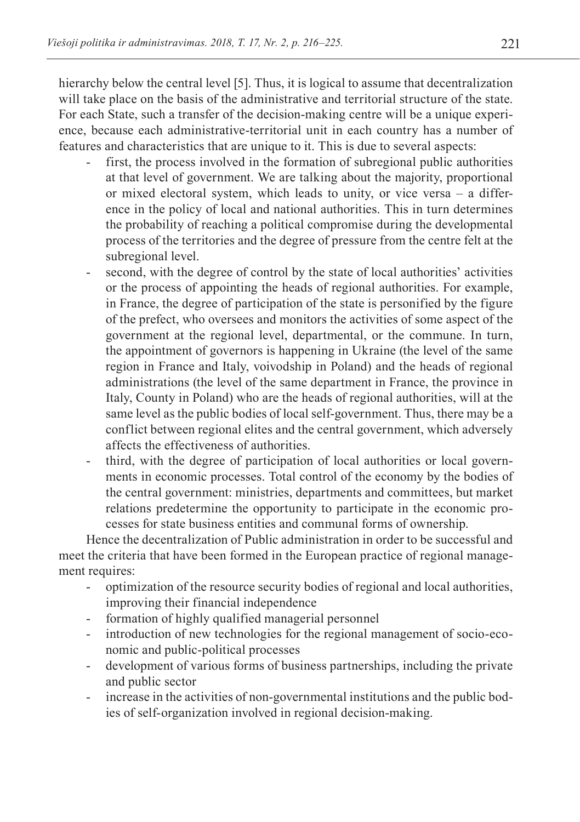hierarchy below the central level [5]. Thus, it is logical to assume that decentralization will take place on the basis of the administrative and territorial structure of the state. For each State, such a transfer of the decision-making centre will be a unique experience, because each administrative-territorial unit in each country has a number of features and characteristics that are unique to it. This is due to several aspects:

- first, the process involved in the formation of subregional public authorities at that level of government. We are talking about the majority, proportional or mixed electoral system, which leads to unity, or vice versa – a difference in the policy of local and national authorities. This in turn determines the probability of reaching a political compromise during the developmental process of the territories and the degree of pressure from the centre felt at the subregional level.
- second, with the degree of control by the state of local authorities' activities or the process of appointing the heads of regional authorities. For example, in France, the degree of participation of the state is personified by the figure of the prefect, who oversees and monitors the activities of some aspect of the government at the regional level, departmental, or the commune. In turn, the appointment of governors is happening in Ukraine (the level of the same region in France and Italy, voivodship in Poland) and the heads of regional administrations (the level of the same department in France, the province in Italy, County in Poland) who are the heads of regional authorities, will at the same level as the public bodies of local self-government. Thus, there may be a conflict between regional elites and the central government, which adversely affects the effectiveness of authorities.
- third, with the degree of participation of local authorities or local governments in economic processes. Total control of the economy by the bodies of the central government: ministries, departments and committees, but market relations predetermine the opportunity to participate in the economic processes for state business entities and communal forms of ownership.

Hence the decentralization of Public administration in order to be successful and meet the criteria that have been formed in the European practice of regional management requires:

- optimization of the resource security bodies of regional and local authorities, improving their financial independence
- formation of highly qualified managerial personnel
- introduction of new technologies for the regional management of socio-economic and public-political processes
- development of various forms of business partnerships, including the private and public sector
- increase in the activities of non-governmental institutions and the public bodies of self-organization involved in regional decision-making.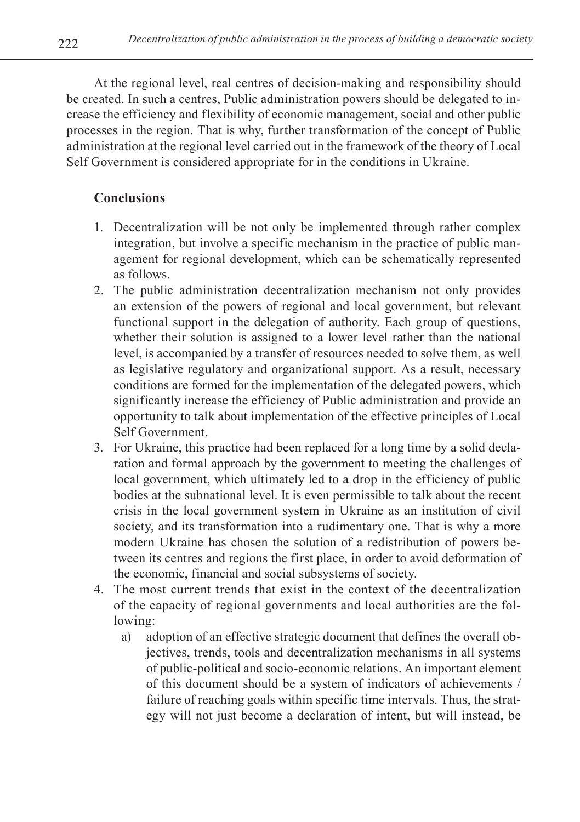At the regional level, real centres of decision-making and responsibility should be created. In such a centres, Public administration powers should be delegated to increase the efficiency and flexibility of economic management, social and other public processes in the region. That is why, further transformation of the concept of Public administration at the regional level carried out in the framework of the theory of Local Self Government is considered appropriate for in the conditions in Ukraine.

# **Conclusions**

- 1. Decentralization will be not only be implemented through rather complex integration, but involve a specific mechanism in the practice of public management for regional development, which can be schematically represented as follows.
- 2. The public administration decentralization mechanism not only provides an extension of the powers of regional and local government, but relevant functional support in the delegation of authority. Each group of questions, whether their solution is assigned to a lower level rather than the national level, is accompanied by a transfer of resources needed to solve them, as well as legislative regulatory and organizational support. As a result, necessary conditions are formed for the implementation of the delegated powers, which significantly increase the efficiency of Public administration and provide an opportunity to talk about implementation of the effective principles of Local Self Government.
- 3. For Ukraine, this practice had been replaced for a long time by a solid declaration and formal approach by the government to meeting the challenges of local government, which ultimately led to a drop in the efficiency of public bodies at the subnational level. It is even permissible to talk about the recent crisis in the local government system in Ukraine as an institution of civil society, and its transformation into a rudimentary one. That is why a more modern Ukraine has chosen the solution of a redistribution of powers between its centres and regions the first place, in order to avoid deformation of the economic, financial and social subsystems of society.
- 4. The most current trends that exist in the context of the decentralization of the capacity of regional governments and local authorities are the following:
	- a) adoption of an effective strategic document that defines the overall objectives, trends, tools and decentralization mechanisms in all systems of public-political and socio-economic relations. An important element of this document should be a system of indicators of achievements / failure of reaching goals within specific time intervals. Thus, the strategy will not just become a declaration of intent, but will instead, be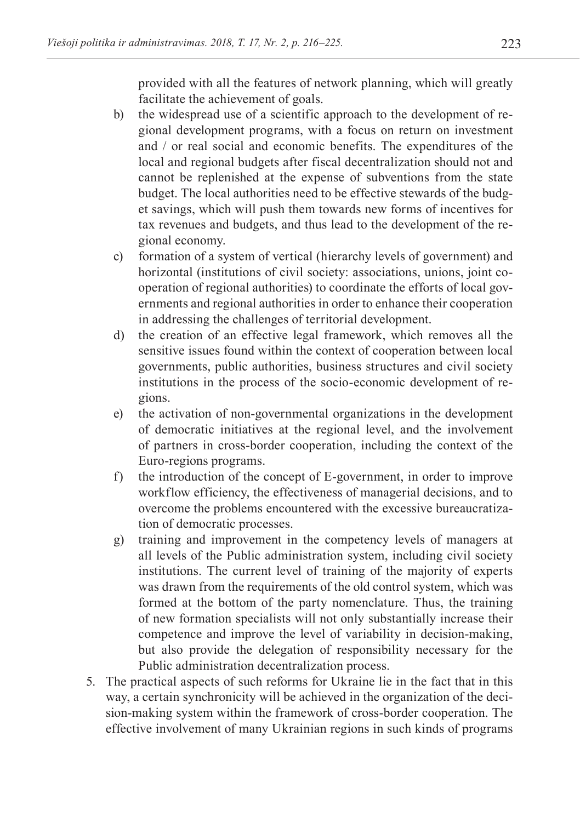provided with all the features of network planning, which will greatly facilitate the achievement of goals.

- b) the widespread use of a scientific approach to the development of regional development programs, with a focus on return on investment and / or real social and economic benefits. The expenditures of the local and regional budgets after fiscal decentralization should not and cannot be replenished at the expense of subventions from the state budget. The local authorities need to be effective stewards of the budget savings, which will push them towards new forms of incentives for tax revenues and budgets, and thus lead to the development of the regional economy.
- c) formation of a system of vertical (hierarchy levels of government) and horizontal (institutions of civil society: associations, unions, joint cooperation of regional authorities) to coordinate the efforts of local governments and regional authorities in order to enhance their cooperation in addressing the challenges of territorial development.
- d) the creation of an effective legal framework, which removes all the sensitive issues found within the context of cooperation between local governments, public authorities, business structures and civil society institutions in the process of the socio-economic development of regions.
- e) the activation of non-governmental organizations in the development of democratic initiatives at the regional level, and the involvement of partners in cross-border cooperation, including the context of the Euro-regions programs.
- f) the introduction of the concept of E-government, in order to improve workflow efficiency, the effectiveness of managerial decisions, and to overcome the problems encountered with the excessive bureaucratization of democratic processes.
- g) training and improvement in the competency levels of managers at all levels of the Public administration system, including civil society institutions. The current level of training of the majority of experts was drawn from the requirements of the old control system, which was formed at the bottom of the party nomenclature. Thus, the training of new formation specialists will not only substantially increase their competence and improve the level of variability in decision-making, but also provide the delegation of responsibility necessary for the Public administration decentralization process.
- 5. The practical aspects of such reforms for Ukraine lie in the fact that in this way, a certain synchronicity will be achieved in the organization of the decision-making system within the framework of cross-border cooperation. The effective involvement of many Ukrainian regions in such kinds of programs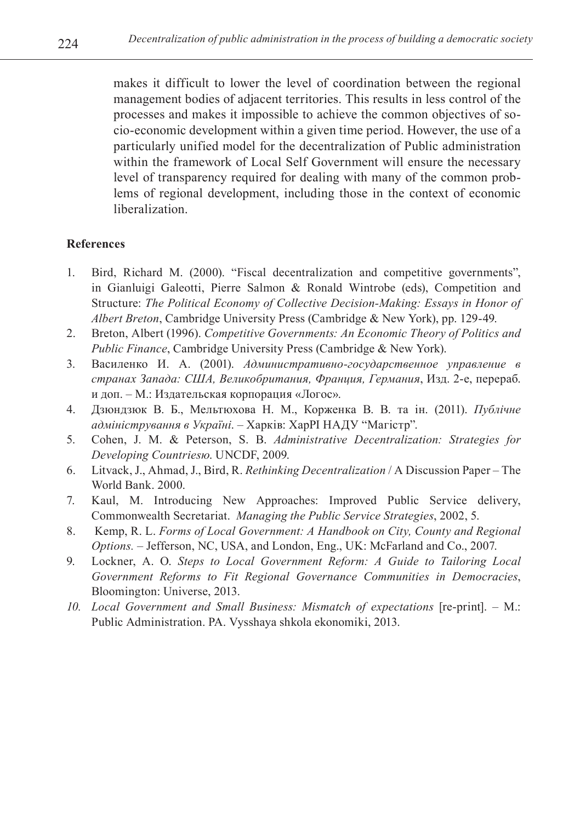makes it difficult to lower the level of coordination between the regional management bodies of adjacent territories. This results in less control of the processes and makes it impossible to achieve the common objectives of socio-economic development within a given time period. However, the use of a particularly unified model for the decentralization of Public administration within the framework of Local Self Government will ensure the necessary level of transparency required for dealing with many of the common problems of regional development, including those in the context of economic liberalization.

### **References**

- 1. Bird, Richard M. (2000). "Fiscal decentralization and competitive governments", in Gianluigi Galeotti, Pierre Salmon & Ronald Wintrobe (eds), Competition and Structure: *The Political Economy of Collective Decision-Making: Essays in Honor of Albert Breton*, Cambridge University Press (Cambridge & New York), pp. 129-49.
- 2. Breton, Albert (1996). *Competitive Governments: An Economic Theory of Politics and Public Finance*, Cambridge University Press (Cambridge & New York).
- 3. Василенко И. А. (2001). *Административно-государственное управление в странах Запада: США, Великобритания, Франция, Германия*, Изд. 2-е, перераб. и доп. – М.: Издательская корпорация «Логос».
- 4. Дзюндзюк В. Б., Мельтюхова Н. М., Корженка В. В. та ін. (2011). *Публічне адміністрування в Україні*. – Харків: ХарРІ НАДУ "Магістр".
- 5. Cohen, J. M. & Peterson, S. B. *Administrative Decentralization: Strategies for Developing Countriesю*. UNCDF, 2009.
- 6. Litvack, J., Ahmad, J., Bird, R. *Rethinking Decentralization* / A Discussion Paper The World Bank. 2000.
- 7. Kaul, M. Introducing New Approaches: Improved Public Service delivery, Commonwealth Secretariat. *Managing the Public Service Strategies*, 2002, 5.
- 8. Kemp, R. L. *Forms of Local Government: A Handbook on City, County and Regional Options.* – Jefferson, NC, USA, and London, Eng., UK: McFarland and Co., 2007.
- 9. Lockner, A. O. *Steps to Local Government Reform: A Guide to Tailoring Local Government Reforms to Fit Regional Governance Communities in Democracies*, Bloomington: Universe, 2013.
- *10. Local Government and Small Business: Mismatch of expectations* [re-print]. М.: Public Administration. PA. Vysshaya shkola ekonomiki, 2013.